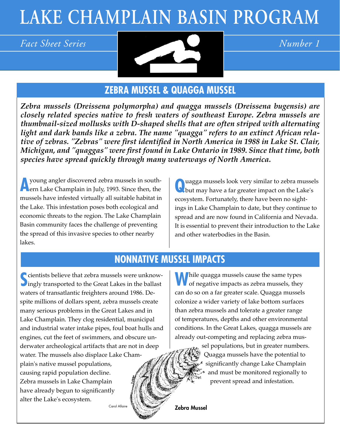# **LAKE CHAMPLAIN BASIN PROGRAM**



# **ZEBRA MUSSEL & QUAGGA MUSSEL**

*Zebra mussels (Dreissena polymorpha) and quagga mussels (Dreissena bugensis) are closely related species native to fresh waters of southeast Europe. Zebra mussels are thumbnail-sized mollusks with D-shaped shells that are often striped with alternating light and dark bands like a zebra. The name "quagga" refers to an extinct African relative of zebras. "Zebras" were first identified in North America in 1988 in Lake St. Clair, Michigan, and "quaggas" were first found in Lake Ontario in 1989. Since that time, both species have spread quickly through many waterways of North America.* 

**A** young angler discovered zebra mussels in south-<br>
ern Lake Champlain in July, 1993. Since then, the mussels have infested virtually all suitable habitat in the Lake. This infestation poses both ecological and economic threats to the region. The Lake Champlain Basin community faces the challenge of preventing the spread of this invasive species to other nearby lakes.

**Q**uagga mussels look very similar to zebra mussels but may have a far greater impact on the Lake's ecosystem. Fortunately, there have been no sightings in Lake Champlain to date, but they continue to spread and are now found in California and Nevada. It is essential to prevent their introduction to the Lake and other waterbodies in the Basin.

# **NONNATIVE MUSSEL IMPACTS**

Sale is that zebra mussels were unknowingly transported to the Great Lakes in the ballast cientists believe that zebra mussels were unknowwaters of transatlantic freighters around 1986. Despite millions of dollars spent, zebra mussels create many serious problems in the Great Lakes and in Lake Champlain. They clog residential, municipal and industrial water intake pipes, foul boat hulls and engines, cut the feet of swimmers, and obscure underwater archeological artifacts that are not in deep water. The mussels also displace Lake Champlain's native mussel populations, causing rapid population decline. Zebra mussels in Lake Champlain have already begun to significantly alter the Lake's ecosystem.

**While quagga mussels cause the same types**  $\bigvee$  of negative impacts as zebra mussels, they can do so on a far greater scale. Quagga mussels colonize a wider variety of lake bottom surfaces than zebra mussels and tolerate a greater range of temperatures, depths and other environmental conditions. In the Great Lakes, quagga mussels are already out-competing and replacing zebra mus-

> sel populations, but in greater numbers. Quagga mussels have the potential to significantly change Lake Champlain and must be monitored regionally to prevent spread and infestation.

Carol Allaire **Manual Scholars Allaire Zebra Mussel**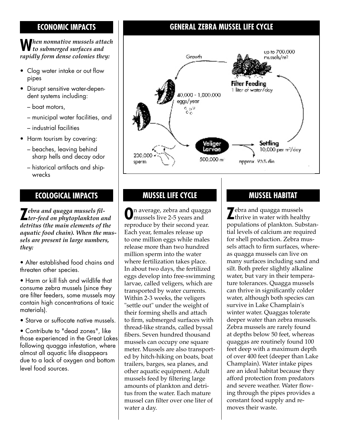#### **ECONOMIC IMPACTS**

## **W***hen nonnative mussels attach to submerged surfaces and rapidly form dense colonies they:*

- Clog water intake or out flow pipes
- Disrupt sensitive water-dependent systems including:
	- boat motors,
	- municipal water facilities, and
	- industrial facilities
- Harm tourism by covering:
	- beaches, leaving behind sharp hells and decay odor
	- historical artifacts and ship wrecks

**Z***ebra and quagga mussels fil-ter-feed on phytoplankton and detritus (the main elements of the aquatic food chain). When the mussels are present in large numbers, they:*

• Alter established food chains and threaten other species.

• Harm or kill fish and wildlife that consume zebra mussels (since they are filter feeders, some mussels may contain high concentrations of toxic materials).

• Starve or suffocate native mussels.

• Contribute to "dead zones", like those experienced in the Great Lakes following quagga infestation, where almost all aquatic life disappears due to a lack of oxygen and bottom level food sources.

### **GENERAL ZEBRA MUSSEL LIFE CYCLE**



#### **ECOLOGICAL IMPACTS MUSSEL LIFE CYCLE**

**O**n average, zebra and quagga mussels live 2-5 years and reproduce by their second year. Each year, females release up to one million eggs while males release more than two hundred million sperm into the water where fertilization takes place. In about two days, the fertilized eggs develop into free-swimming larvae, called veligers, which are transported by water currents. Within 2-3 weeks, the veligers "settle out" under the weight of their forming shells and attach to firm, submerged surfaces with thread-like strands, called byssal fibers. Seven hundred thousand mussels can occupy one square meter. Mussels are also transported by hitch-hiking on boats, boat trailers, barges, sea planes, and other aquatic equipment. Adult mussels feed by filtering large amounts of plankton and detritus from the water. Each mature mussel can filter over one liter of water a day.

#### **MUSSEL HABITAT**

**Z**ebra and quagga mussels thrive in water with healthy populations of plankton. Substantial levels of calcium are required for shell production. Zebra mussels attach to firm surfaces, whereas quagga mussels can live on many surfaces including sand and silt. Both prefer slightly alkaline water, but vary in their temperature tolerances. Quagga mussels can thrive in significantly colder water, although both species can survive in Lake Champlain's winter water. Quaggas tolerate deeper water than zebra mussels. Zebra mussels are rarely found at depths below 50 feet, whereas quaggas are routinely found 100 feet deep with a maximum depth of over 400 feet (deeper than Lake Champlain). Water intake pipes are an ideal habitat because they afford protection from predators and severe weather. Water flowing through the pipes provides a constant food supply and removes their waste.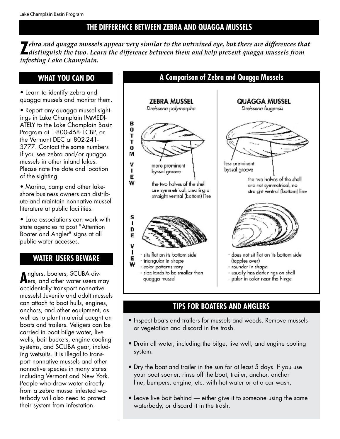### **THE DIFFERENCE BETWEEN ZEBRA AND QUAGGA MUSSELS**

**Z***ebra and quagga mussels appear very similar to the untrained eye, but there are differences that distinguish the two. Learn the difference between them and help prevent quagga mussels from infesting Lake Champlain.*

#### **WHAT YOU CAN DO**

- Learn to identify zebra and quagga mussels and monitor them.
- Report any quagga mussel sightings in Lake Champlain IMMEDI-ATELY to the Lake Champlain Basin Program at 1-800-468- LCBP, or the Vermont DEC at 802-241- 3777. Contact the same numbers if you see zebra and/or quagga mussels in other inland lakes. Please note the date and location of the sighting.
- Marina, camp and other lakeshore business owners can distribute and maintain nonnative mussel literature at public facilities.
- Lake associations can work with state agencies to post "Attention Boater and Angler" signs at all public water accesses.

#### **WATER USERS BEWARE**

**A**nglers, boaters, SCUBA divers, and other water users may accidentally transport nonnative mussels! Juvenile and adult mussels can attach to boat hulls, engines, anchors, and other equipment, as well as to plant material caught on boats and trailers. Veligers can be carried in boat bilge water, live wells, bait buckets, engine cooling systems, and SCUBA gear, including wetsuits. It is illegal to transport nonnative mussels and other nonnative species in many states including Vermont and New York. People who draw water directly from a zebra mussel infested waterbody will also need to protect their system from infestation.



### **TIPS FOR BOATERS AND ANGLERS**

- Inspect boats and trailers for mussels and weeds. Remove mussels or vegetation and discard in the trash.
- Drain all water, including the bilge, live well, and engine cooling system.
- Dry the boat and trailer in the sun for at least 5 days. If you use your boat sooner, rinse off the boat, trailer, anchor, anchor line, bumpers, engine, etc. with hot water or at a car wash.
- Leave live bait behind either give it to someone using the same waterbody, or discard it in the trash.